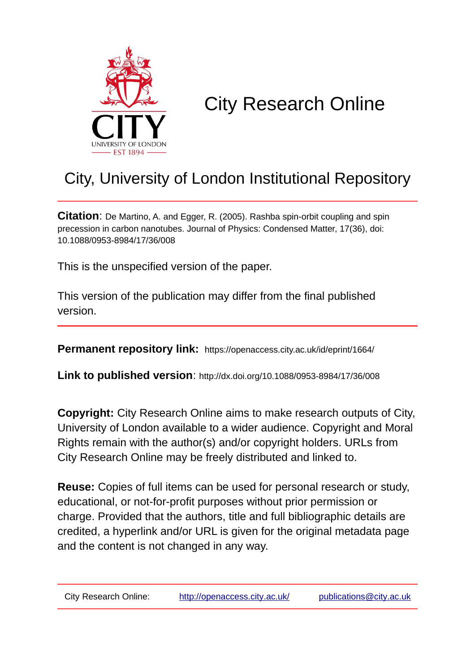

# City Research Online

## City, University of London Institutional Repository

**Citation**: De Martino, A. and Egger, R. (2005). Rashba spin-orbit coupling and spin precession in carbon nanotubes. Journal of Physics: Condensed Matter, 17(36), doi: 10.1088/0953-8984/17/36/008

This is the unspecified version of the paper.

This version of the publication may differ from the final published version.

**Permanent repository link:** https://openaccess.city.ac.uk/id/eprint/1664/

**Link to published version**: http://dx.doi.org/10.1088/0953-8984/17/36/008

**Copyright:** City Research Online aims to make research outputs of City, University of London available to a wider audience. Copyright and Moral Rights remain with the author(s) and/or copyright holders. URLs from City Research Online may be freely distributed and linked to.

**Reuse:** Copies of full items can be used for personal research or study, educational, or not-for-profit purposes without prior permission or charge. Provided that the authors, title and full bibliographic details are credited, a hyperlink and/or URL is given for the original metadata page and the content is not changed in any way.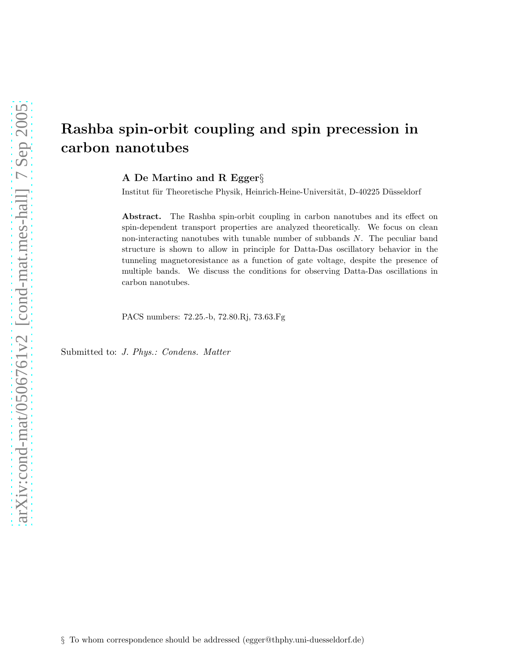### Rashba spin-orbit coupling and spin precession in carbon nanotubes

A De Martino and R Egger§

Institut für Theoretische Physik, Heinrich-Heine-Universität, D-40225 Düsseldorf

Abstract. The Rashba spin-orbit coupling in carbon nanotubes and its effect on spin-dependent transport properties are analyzed theoretically. We focus on clean non-interacting nanotubes with tunable number of subbands N. The peculiar band structure is shown to allow in principle for Datta-Das oscillatory behavior in the tunneling magnetoresistance as a function of gate voltage, despite the presence of multiple bands. We discuss the conditions for observing Datta-Das oscillations in carbon nanotubes.

PACS numbers: 72.25.-b, 72.80.Rj, 73.63.Fg

Submitted to: *J. Phys.: Condens. Matter*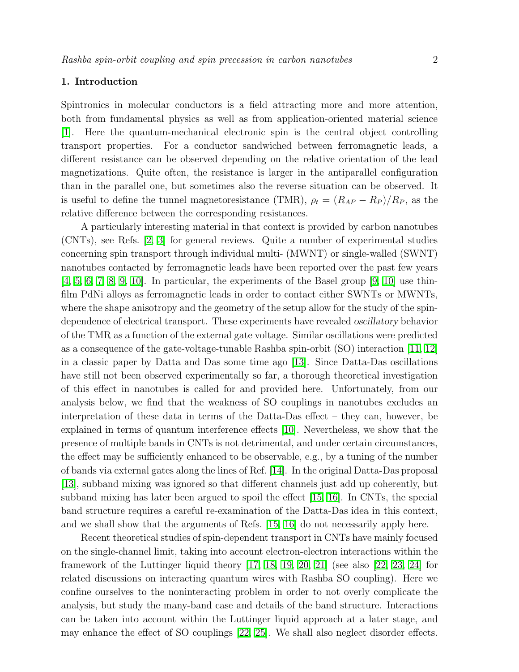#### 1. Introduction

Spintronics in molecular conductors is a field attracting more and more attention, both from fundamental physics as well as from application-oriented material science [\[1\]](#page-11-0). Here the quantum-mechanical electronic spin is the central object controlling transport properties. For a conductor sandwiched between ferromagnetic leads, a different resistance can be observed depending on the relative orientation of the lead magnetizations. Quite often, the resistance is larger in the antiparallel configuration than in the parallel one, but sometimes also the reverse situation can be observed. It is useful to define the tunnel magnetoresistance (TMR),  $\rho_t = (R_{AP} - R_P)/R_P$ , as the relative difference between the corresponding resistances.

A particularly interesting material in that context is provided by carbon nanotubes (CNTs), see Refs. [\[2,](#page-11-1) [3\]](#page-11-2) for general reviews. Quite a number of experimental studies concerning spin transport through individual multi- (MWNT) or single-walled (SWNT) nanotubes contacted by ferromagnetic leads have been reported over the past few years  $[4, 5, 6, 7, 8, 9, 10]$  $[4, 5, 6, 7, 8, 9, 10]$  $[4, 5, 6, 7, 8, 9, 10]$  $[4, 5, 6, 7, 8, 9, 10]$  $[4, 5, 6, 7, 8, 9, 10]$  $[4, 5, 6, 7, 8, 9, 10]$  $[4, 5, 6, 7, 8, 9, 10]$ . In particular, the experiments of the Basel group  $[9, 10]$  use thinfilm PdNi alloys as ferromagnetic leads in order to contact either SWNTs or MWNTs, where the shape anisotropy and the geometry of the setup allow for the study of the spindependence of electrical transport. These experiments have revealed oscillatory behavior of the TMR as a function of the external gate voltage. Similar oscillations were predicted as a consequence of the gate-voltage-tunable Rashba spin-orbit (SO) interaction [\[11,](#page-12-3) [12\]](#page-12-4) in a classic paper by Datta and Das some time ago  $|13|$ . Since Datta-Das oscillations have still not been observed experimentally so far, a thorough theoretical investigation of this effect in nanotubes is called for and provided here. Unfortunately, from our analysis below, we find that the weakness of SO couplings in nanotubes excludes an interpretation of these data in terms of the Datta-Das effect – they can, however, be explained in terms of quantum interference effects [\[10\]](#page-12-2). Nevertheless, we show that the presence of multiple bands in CNTs is not detrimental, and under certain circumstances, the effect may be sufficiently enhanced to be observable, e.g., by a tuning of the number of bands via external gates along the lines of Ref. [\[14\]](#page-12-6). In the original Datta-Das proposal [\[13\]](#page-12-5), subband mixing was ignored so that different channels just add up coherently, but subband mixing has later been argued to spoil the effect [\[15,](#page-12-7) [16\]](#page-12-8). In CNTs, the special band structure requires a careful re-examination of the Datta-Das idea in this context, and we shall show that the arguments of Refs. [\[15,](#page-12-7) [16\]](#page-12-8) do not necessarily apply here.

Recent theoretical studies of spin-dependent transport in CNTs have mainly focused on the single-channel limit, taking into account electron-electron interactions within the framework of the Luttinger liquid theory [\[17,](#page-12-9) [18,](#page-12-10) [19,](#page-12-11) [20,](#page-12-12) [21\]](#page-12-13) (see also [\[22,](#page-12-14) [23,](#page-12-15) [24\]](#page-12-16) for related discussions on interacting quantum wires with Rashba SO coupling). Here we confine ourselves to the noninteracting problem in order to not overly complicate the analysis, but study the many-band case and details of the band structure. Interactions can be taken into account within the Luttinger liquid approach at a later stage, and may enhance the effect of SO couplings [\[22,](#page-12-14) [25\]](#page-12-17). We shall also neglect disorder effects.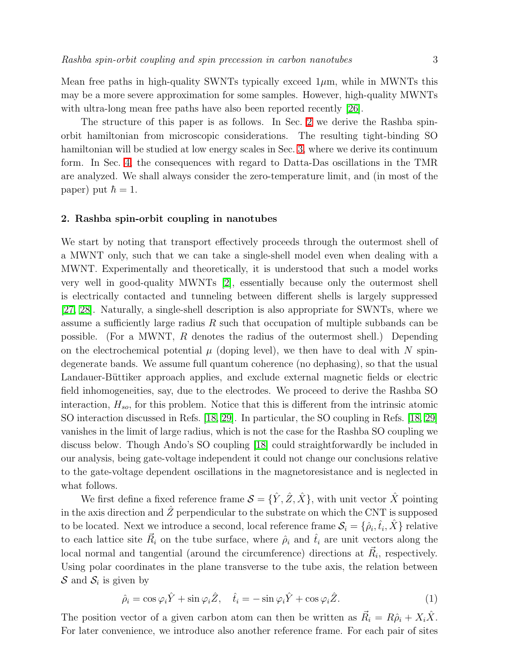Mean free paths in high-quality SWNTs typically exceed  $1\mu$ m, while in MWNTs this may be a more severe approximation for some samples. However, high-quality MWNTs with ultra-long mean free paths have also been reported recently [\[26\]](#page-12-18).

The structure of this paper is as follows. In Sec. [2](#page-3-0) we derive the Rashba spinorbit hamiltonian from microscopic considerations. The resulting tight-binding SO hamiltonian will be studied at low energy scales in Sec. [3,](#page-6-0) where we derive its continuum form. In Sec. [4,](#page-10-0) the consequences with regard to Datta-Das oscillations in the TMR are analyzed. We shall always consider the zero-temperature limit, and (in most of the paper) put  $\hbar = 1$ .

#### <span id="page-3-0"></span>2. Rashba spin-orbit coupling in nanotubes

We start by noting that transport effectively proceeds through the outermost shell of a MWNT only, such that we can take a single-shell model even when dealing with a MWNT. Experimentally and theoretically, it is understood that such a model works very well in good-quality MWNTs [\[2\]](#page-11-1), essentially because only the outermost shell is electrically contacted and tunneling between different shells is largely suppressed [\[27,](#page-12-19) [28\]](#page-12-20). Naturally, a single-shell description is also appropriate for SWNTs, where we assume a sufficiently large radius  $R$  such that occupation of multiple subbands can be possible. (For a MWNT,  $R$  denotes the radius of the outermost shell.) Depending on the electrochemical potential  $\mu$  (doping level), we then have to deal with N spindegenerate bands. We assume full quantum coherence (no dephasing), so that the usual Landauer-Büttiker approach applies, and exclude external magnetic fields or electric field inhomogeneities, say, due to the electrodes. We proceed to derive the Rashba SO interaction,  $H_{so}$ , for this problem. Notice that this is different from the intrinsic atomic SO interaction discussed in Refs. [\[18,](#page-12-10) [29\]](#page-12-21). In particular, the SO coupling in Refs. [\[18,](#page-12-10) [29\]](#page-12-21) vanishes in the limit of large radius, which is not the case for the Rashba SO coupling we discuss below. Though Ando's SO coupling [\[18\]](#page-12-10) could straightforwardly be included in our analysis, being gate-voltage independent it could not change our conclusions relative to the gate-voltage dependent oscillations in the magnetoresistance and is neglected in what follows.

We first define a fixed reference frame  $S = {\hat{Y}, \hat{Z}, \hat{X}}$ , with unit vector  $\hat{X}$  pointing in the axis direction and  $\hat{Z}$  perpendicular to the substrate on which the CNT is supposed to be located. Next we introduce a second, local reference frame  $\mathcal{S}_i = \{\hat{\rho}_i, \hat{t}_i, \hat{X}\}\$ relative to each lattice site  $\vec{R}_i$  on the tube surface, where  $\hat{\rho}_i$  and  $\hat{t}_i$  are unit vectors along the local normal and tangential (around the circumference) directions at  $\vec{R}_i$ , respectively. Using polar coordinates in the plane transverse to the tube axis, the relation between  $S$  and  $S_i$  is given by

$$
\hat{\rho}_i = \cos\varphi_i \hat{Y} + \sin\varphi_i \hat{Z}, \quad \hat{t}_i = -\sin\varphi_i \hat{Y} + \cos\varphi_i \hat{Z}.
$$
\n(1)

The position vector of a given carbon atom can then be written as  $\vec{R}_i = R\hat{\rho}_i + X_i\hat{X}$ . For later convenience, we introduce also another reference frame. For each pair of sites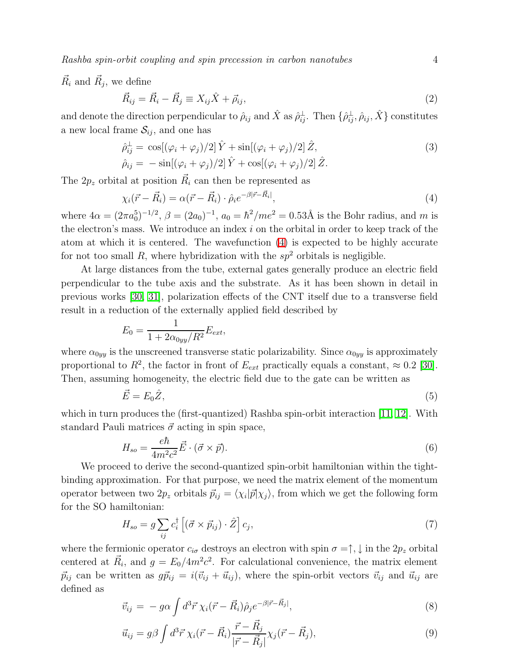Rashba spin-orbit coupling and spin precession in carbon nanotubes 4

 $\vec{R}_i$  and  $\vec{R}_j$ , we define

$$
\vec{R}_{ij} = \vec{R}_i - \vec{R}_j \equiv X_{ij}\hat{X} + \vec{\rho}_{ij},\tag{2}
$$

and denote the direction perpendicular to  $\hat{\rho}_{ij}$  and  $\hat{X}$  as  $\hat{\rho}_{ij}^{\perp}$ . Then  $\{\hat{\rho}_{ij}^{\perp}, \hat{\rho}_{ij}, \hat{X}\}$  constitutes a new local frame  $S_{ij}$ , and one has

$$
\hat{\rho}_{ij}^{\perp} = \cos[(\varphi_i + \varphi_j)/2] \hat{Y} + \sin[(\varphi_i + \varphi_j)/2] \hat{Z},
$$
  
\n
$$
\hat{\rho}_{ij} = -\sin[(\varphi_i + \varphi_j)/2] \hat{Y} + \cos[(\varphi_i + \varphi_j)/2] \hat{Z}.
$$
\n(3)

<span id="page-4-0"></span>The  $2p_z$  orbital at position  $\vec{R}_i$  can then be represented as

$$
\chi_i(\vec{r} - \vec{R}_i) = \alpha(\vec{r} - \vec{R}_i) \cdot \hat{\rho}_i e^{-\beta |\vec{r} - \vec{R}_i|},\tag{4}
$$

where  $4\alpha = (2\pi a_0^5)^{-1/2}$ ,  $\beta = (2a_0)^{-1}$ ,  $a_0 = \hbar^2$ /me<sup>2</sup> = 0.53Å is the Bohr radius, and m is the electron's mass. We introduce an index  $i$  on the orbital in order to keep track of the atom at which it is centered. The wavefunction [\(4\)](#page-4-0) is expected to be highly accurate for not too small R, where hybridization with the  $sp^2$  orbitals is negligible.

At large distances from the tube, external gates generally produce an electric field perpendicular to the tube axis and the substrate. As it has been shown in detail in previous works [\[30,](#page-12-22) [31\]](#page-12-23), polarization effects of the CNT itself due to a transverse field result in a reduction of the externally applied field described by

$$
E_0 = \frac{1}{1 + 2\alpha_{0yy}/R^2} E_{ext},
$$

where  $\alpha_{0yy}$  is the unscreened transverse static polarizability. Since  $\alpha_{0yy}$  is approximately proportional to  $R^2$ , the factor in front of  $E_{ext}$  practically equals a constant,  $\approx 0.2$  [\[30\]](#page-12-22). Then, assuming homogeneity, the electric field due to the gate can be written as

$$
\vec{E} = E_0 \hat{Z},\tag{5}
$$

which in turn produces the (first-quantized) Rashba spin-orbit interaction [\[11,](#page-12-3) [12\]](#page-12-4). With standard Pauli matrices  $\vec{\sigma}$  acting in spin space,

$$
H_{so} = \frac{e\hbar}{4m^2c^2}\vec{E} \cdot (\vec{\sigma} \times \vec{p}).\tag{6}
$$

We proceed to derive the second-quantized spin-orbit hamiltonian within the tightbinding approximation. For that purpose, we need the matrix element of the momentum operator between two  $2p_z$  orbitals  $\vec{p}_{ij} = \langle \chi_i | \vec{p} | \chi_j \rangle$ , from which we get the following form for the SO hamiltonian:

$$
H_{so} = g \sum_{ij} c_i^{\dagger} \left[ (\vec{\sigma} \times \vec{p}_{ij}) \cdot \hat{Z} \right] c_j,
$$
\n
$$
\tag{7}
$$

<span id="page-4-1"></span>where the fermionic operator  $c_{i\sigma}$  destroys an electron with spin  $\sigma = \uparrow, \downarrow$  in the  $2p_z$  orbital centered at  $\vec{R}_i$ , and  $g = E_0/4m^2c^2$ . For calculational convenience, the matrix element  $\vec{p}_{ij}$  can be written as  $g\vec{p}_{ij} = i(\vec{v}_{ij} + \vec{u}_{ij})$ , where the spin-orbit vectors  $\vec{v}_{ij}$  and  $\vec{u}_{ij}$  are defined as

$$
\vec{v}_{ij} = -g\alpha \int d^3\vec{r} \,\chi_i(\vec{r} - \vec{R}_i)\hat{\rho}_j e^{-\beta|\vec{r} - \vec{R}_j|},\tag{8}
$$

$$
\vec{u}_{ij} = g\beta \int d^3 \vec{r} \,\chi_i(\vec{r} - \vec{R}_i) \frac{\vec{r} - \vec{R}_j}{|\vec{r} - \vec{R}_j|} \chi_j(\vec{r} - \vec{R}_j),\tag{9}
$$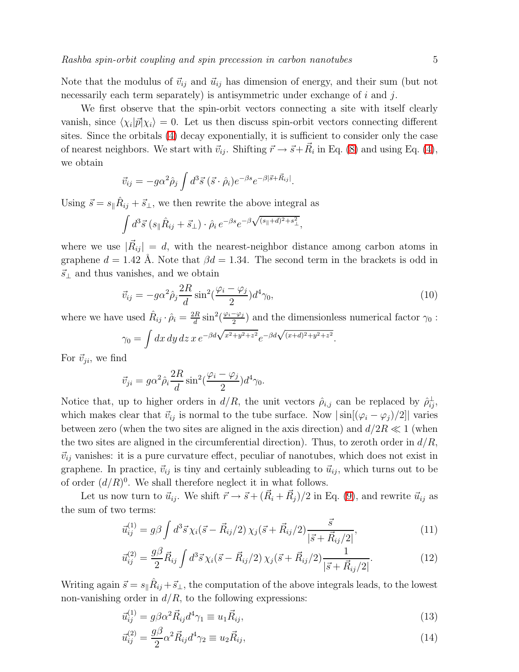Note that the modulus of  $\vec{v}_{ij}$  and  $\vec{u}_{ij}$  has dimension of energy, and their sum (but not necessarily each term separately) is antisymmetric under exchange of  $i$  and  $j$ .

We first observe that the spin-orbit vectors connecting a site with itself clearly vanish, since  $\langle \chi_i | \vec{p} | \chi_i \rangle = 0$ . Let us then discuss spin-orbit vectors connecting different sites. Since the orbitals [\(4\)](#page-4-0) decay exponentially, it is sufficient to consider only the case of nearest neighbors. We start with  $\vec{v}_{ij}$ . Shifting  $\vec{r} \to \vec{s} + \vec{R}_i$  in Eq. [\(8\)](#page-4-1) and using Eq. [\(4\)](#page-4-0), we obtain

$$
\vec{v}_{ij} = -g\alpha^2 \hat{\rho}_j \int d^3 \vec{s} \, (\vec{s} \cdot \hat{\rho}_i) e^{-\beta s} e^{-\beta |\vec{s} + \vec{R}_{ij}|}.
$$

Using  $\vec{s} = s_{\parallel} \hat{R}_{ij} + \vec{s}_{\perp}$ , we then rewrite the above integral as

$$
\int d^3\vec{s} \left(s_{\parallel} \hat{R}_{ij} + \vec{s}_{\perp} \right) \cdot \hat{\rho}_i \, e^{-\beta s} e^{-\beta \sqrt{(s_{\parallel}+d)^2 + s_{\perp}^2}},
$$

where we use  $|\vec{R}_{ij}| = d$ , with the nearest-neighbor distance among carbon atoms in graphene  $d = 1.42$  Å. Note that  $\beta d = 1.34$ . The second term in the brackets is odd in  $\vec{s}_\perp$  and thus vanishes, and we obtain

$$
\vec{v}_{ij} = -g\alpha^2 \hat{\rho}_j \frac{2R}{d} \sin^2(\frac{\varphi_i - \varphi_j}{2}) d^4 \gamma_0, \qquad (10)
$$

where we have used  $\hat{R}_{ij} \cdot \hat{\rho}_i = \frac{2R}{d}$  $\frac{dR}{d}\sin^2(\frac{\varphi_i-\varphi_j}{2})$  $\frac{-\varphi_j}{2}$  and the dimensionless numerical factor  $\gamma_0$ :

$$
\gamma_0 = \int dx \, dy \, dz \, x \, e^{-\beta d \sqrt{x^2 + y^2 + z^2}} e^{-\beta d \sqrt{(x+d)^2 + y^2 + z^2}}.
$$

For  $\vec{v}_{ji}$ , we find

$$
\vec{v}_{ji} = g\alpha^2 \hat{\rho}_i \frac{2R}{d} \sin^2(\frac{\varphi_i - \varphi_j}{2}) d^4 \gamma_0.
$$

Notice that, up to higher orders in  $d/R$ , the unit vectors  $\hat{\rho}_{i,j}$  can be replaced by  $\hat{\rho}_{ij}^{\perp}$ , which makes clear that  $\vec{v}_{ij}$  is normal to the tube surface. Now  $|\sin[(\varphi_i - \varphi_j)/2]|$  varies between zero (when the two sites are aligned in the axis direction) and  $d/2R \ll 1$  (when the two sites are aligned in the circumferential direction). Thus, to zeroth order in  $d/R$ ,  $\vec{v}_{ij}$  vanishes: it is a pure curvature effect, peculiar of nanotubes, which does not exist in graphene. In practice,  $\vec{v}_{ij}$  is tiny and certainly subleading to  $\vec{u}_{ij}$ , which turns out to be of order  $(d/R)^0$ . We shall therefore neglect it in what follows.

Let us now turn to  $\vec{u}_{ij}$ . We shift  $\vec{r} \to \vec{s} + (\vec{R}_i + \vec{R}_j)/2$  in Eq. [\(9\)](#page-4-1), and rewrite  $\vec{u}_{ij}$  as the sum of two terms:

$$
\vec{u}_{ij}^{(1)} = g\beta \int d^3\vec{s} \,\chi_i(\vec{s} - \vec{R}_{ij}/2) \,\chi_j(\vec{s} + \vec{R}_{ij}/2) \frac{\vec{s}}{|\vec{s} + \vec{R}_{ij}/2|},\tag{11}
$$

$$
\vec{u}_{ij}^{(2)} = \frac{g\beta}{2} \vec{R}_{ij} \int d^3 \vec{s} \,\chi_i(\vec{s} - \vec{R}_{ij}/2) \,\chi_j(\vec{s} + \vec{R}_{ij}/2) \frac{1}{|\vec{s} + \vec{R}_{ij}/2|}.\tag{12}
$$

Writing again  $\vec{s} = s_{\parallel} \hat{R}_{ij} + \vec{s}_{\perp}$ , the computation of the above integrals leads, to the lowest non-vanishing order in  $d/R$ , to the following expressions:

$$
\vec{u}_{ij}^{(1)} = g\beta\alpha^2 \vec{R}_{ij} d^4 \gamma_1 \equiv u_1 \vec{R}_{ij},\tag{13}
$$

$$
\vec{u}_{ij}^{(2)} = \frac{g\beta}{2} \alpha^2 \vec{R}_{ij} d^4 \gamma_2 \equiv u_2 \vec{R}_{ij},\qquad(14)
$$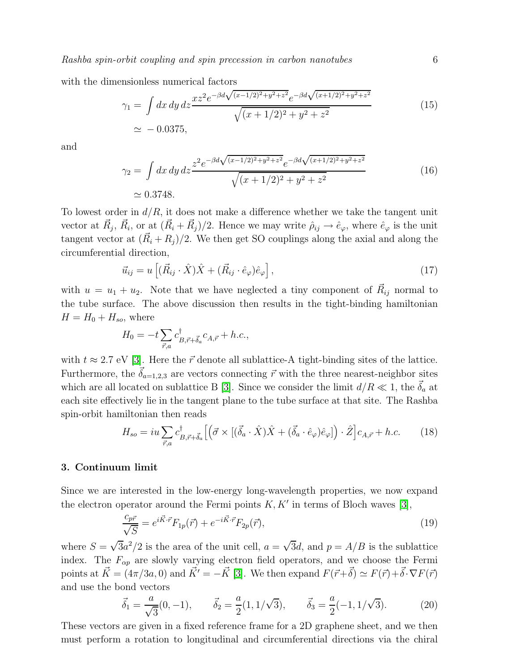with the dimensionless numerical factors

$$
\gamma_1 = \int dx \, dy \, dz \frac{x z^2 e^{-\beta d \sqrt{(x-1/2)^2 + y^2 + z^2}} e^{-\beta d \sqrt{(x+1/2)^2 + y^2 + z^2}}}{\sqrt{(x+1/2)^2 + y^2 + z^2}} \tag{15}
$$
\n
$$
\simeq -0.0375,
$$

and

$$
\gamma_2 = \int dx \, dy \, dz \frac{z^2 e^{-\beta d \sqrt{(x-1/2)^2 + y^2 + z^2}} e^{-\beta d \sqrt{(x+1/2)^2 + y^2 + z^2}}}{\sqrt{(x+1/2)^2 + y^2 + z^2}}
$$
(16)  
\n
$$
\approx 0.3748.
$$

To lowest order in  $d/R$ , it does not make a difference whether we take the tangent unit vector at  $\vec{R}_j$ ,  $\vec{R}_i$ , or at  $(\vec{R}_i + \vec{R}_j)/2$ . Hence we may write  $\hat{\rho}_{ij} \to \hat{e}_{\varphi}$ , where  $\hat{e}_{\varphi}$  is the unit tangent vector at  $(\vec{R}_i + R_j)/2$ . We then get SO couplings along the axial and along the circumferential direction,

$$
\vec{u}_{ij} = u \left[ (\vec{R}_{ij} \cdot \hat{X}) \hat{X} + (\vec{R}_{ij} \cdot \hat{e}_{\varphi}) \hat{e}_{\varphi} \right], \tag{17}
$$

with  $u = u_1 + u_2$ . Note that we have neglected a tiny component of  $\vec{R}_{ij}$  normal to the tube surface. The above discussion then results in the tight-binding hamiltonian  $H = H_0 + H_{so}$ , where

$$
H_0 = -t \sum_{\vec{r},a} c_{B,\vec{r}+\vec{\delta}_a}^{\dagger} c_{A,\vec{r}} + h.c.,
$$

with  $t \approx 2.7$  eV [\[3\]](#page-11-2). Here the  $\vec{r}$  denote all sublattice-A tight-binding sites of the lattice. Furthermore, the  $\vec{\delta}_{a=1,2,3}$  are vectors connecting  $\vec{r}$  with the three nearest-neighbor sites which are all located on sublattice B [\[3\]](#page-11-2). Since we consider the limit  $d/R \ll 1$ , the  $\vec{\delta}_a$  at each site effectively lie in the tangent plane to the tube surface at that site. The Rashba spin-orbit hamiltonian then reads

$$
H_{so} = iu\sum_{\vec{r},a} c^{\dagger}_{B,\vec{r}+\vec{\delta}_a} \left[ \left( \vec{\sigma} \times \left[ (\vec{\delta}_a \cdot \hat{X}) \hat{X} + (\vec{\delta}_a \cdot \hat{e}_{\varphi}) \hat{e}_{\varphi} \right] \right) \cdot \hat{Z} \right] c_{A,\vec{r}} + h.c. \tag{18}
$$

#### <span id="page-6-1"></span><span id="page-6-0"></span>3. Continuum limit

Since we are interested in the low-energy long-wavelength properties, we now expand the electron operator around the Fermi points  $K, K'$  in terms of Bloch waves [\[3\]](#page-11-2),

$$
\frac{c_{p\vec{r}}}{\sqrt{S}} = e^{i\vec{K}\cdot\vec{r}}F_{1p}(\vec{r}) + e^{-i\vec{K}\cdot\vec{r}}F_{2p}(\vec{r}),\tag{19}
$$

where  $S = \sqrt{3}a^2/2$  is the area of the unit cell,  $a = \sqrt{3}d$ , and  $p = A/B$  is the sublattice index. The  $F_{\alpha p}$  are slowly varying electron field operators, and we choose the Fermi points at  $\vec{K} = (4\pi/3a, 0)$  and  $\vec{K}' = -\vec{K}$  [\[3\]](#page-11-2). We then expand  $F(\vec{r}+\vec{\delta}) \simeq F(\vec{r})+\vec{\delta} \cdot \nabla F(\vec{r})$ and use the bond vectors

$$
\vec{\delta}_1 = \frac{a}{\sqrt{3}}(0, -1), \qquad \vec{\delta}_2 = \frac{a}{2}(1, 1/\sqrt{3}), \qquad \vec{\delta}_3 = \frac{a}{2}(-1, 1/\sqrt{3}). \tag{20}
$$

<span id="page-6-2"></span>These vectors are given in a fixed reference frame for a 2D graphene sheet, and we then must perform a rotation to longitudinal and circumferential directions via the chiral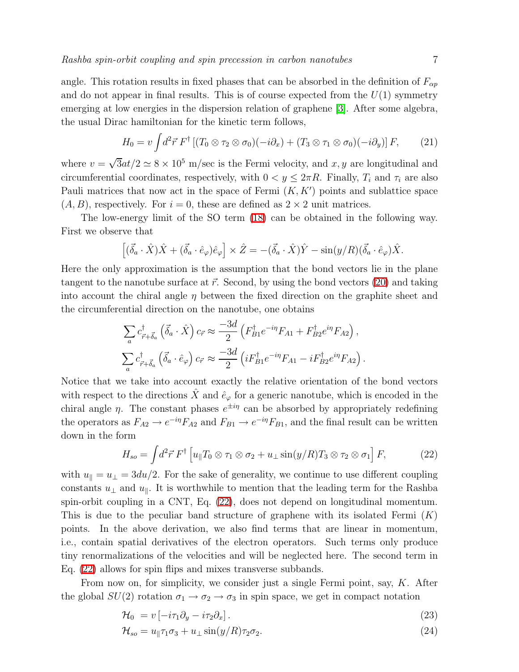angle. This rotation results in fixed phases that can be absorbed in the definition of  $F_{\alpha p}$ and do not appear in final results. This is of course expected from the  $U(1)$  symmetry emerging at low energies in the dispersion relation of graphene [\[3\]](#page-11-2). After some algebra, the usual Dirac hamiltonian for the kinetic term follows,

$$
H_0 = v \int d^2 \vec{r} \, F^{\dagger} \left[ (T_0 \otimes \tau_2 \otimes \sigma_0)(-i\partial_x) + (T_3 \otimes \tau_1 \otimes \sigma_0)(-i\partial_y) \right] F, \qquad (21)
$$

where  $v = \sqrt{3}at/2 \simeq 8 \times 10^5$  m/sec is the Fermi velocity, and  $x, y$  are longitudinal and circumferential coordinates, respectively, with  $0 < y \leq 2\pi R$ . Finally,  $T_i$  and  $\tau_i$  are also Pauli matrices that now act in the space of Fermi  $(K, K')$  points and sublattice space  $(A, B)$ , respectively. For  $i = 0$ , these are defined as  $2 \times 2$  unit matrices.

The low-energy limit of the SO term [\(18\)](#page-6-1) can be obtained in the following way. First we observe that

$$
\left[ (\vec{\delta}_a \cdot \hat{X}) \hat{X} + (\vec{\delta}_a \cdot \hat{e}_{\varphi}) \hat{e}_{\varphi} \right] \times \hat{Z} = -(\vec{\delta}_a \cdot \hat{X}) \hat{Y} - \sin(y/R) (\vec{\delta}_a \cdot \hat{e}_{\varphi}) \hat{X}.
$$

Here the only approximation is the assumption that the bond vectors lie in the plane tangent to the nanotube surface at  $\vec{r}$ . Second, by using the bond vectors [\(20\)](#page-6-2) and taking into account the chiral angle  $\eta$  between the fixed direction on the graphite sheet and the circumferential direction on the nanotube, one obtains

$$
\sum_{a} c^{\dagger}_{\vec{r}+\vec{\delta}_{a}} (\vec{\delta}_{a} \cdot \hat{X}) c_{\vec{r}} \approx \frac{-3d}{2} \left( F^{\dagger}_{B1} e^{-i\eta} F_{A1} + F^{\dagger}_{B2} e^{i\eta} F_{A2} \right),
$$
  

$$
\sum_{a} c^{\dagger}_{\vec{r}+\vec{\delta}_{a}} (\vec{\delta}_{a} \cdot \hat{e}_{\varphi}) c_{\vec{r}} \approx \frac{-3d}{2} \left( i F^{\dagger}_{B1} e^{-i\eta} F_{A1} - i F^{\dagger}_{B2} e^{i\eta} F_{A2} \right).
$$

Notice that we take into account exactly the relative orientation of the bond vectors with respect to the directions  $\hat{X}$  and  $\hat{e}_{\varphi}$  for a generic nanotube, which is encoded in the chiral angle  $\eta$ . The constant phases  $e^{\pm i\eta}$  can be absorbed by appropriately redefining the operators as  $F_{A2} \to e^{-i\eta} F_{A2}$  and  $F_{B1} \to e^{-i\eta} F_{B1}$ , and the final result can be written down in the form

$$
H_{so} = \int d^2 \vec{r} \, F^{\dagger} \left[ u_{\parallel} T_0 \otimes \tau_1 \otimes \sigma_2 + u_{\perp} \sin(y/R) T_3 \otimes \tau_2 \otimes \sigma_1 \right] F, \tag{22}
$$

<span id="page-7-0"></span>with  $u_{\parallel} = u_{\perp} = 3du/2$ . For the sake of generality, we continue to use different coupling constants  $u_{\perp}$  and  $u_{\parallel}$ . It is worthwhile to mention that the leading term for the Rashba spin-orbit coupling in a CNT, Eq. [\(22\)](#page-7-0), does not depend on longitudinal momentum. This is due to the peculiar band structure of graphene with its isolated Fermi  $(K)$ points. In the above derivation, we also find terms that are linear in momentum, i.e., contain spatial derivatives of the electron operators. Such terms only produce tiny renormalizations of the velocities and will be neglected here. The second term in Eq. [\(22\)](#page-7-0) allows for spin flips and mixes transverse subbands.

<span id="page-7-1"></span>From now on, for simplicity, we consider just a single Fermi point, say, K. After the global  $SU(2)$  rotation  $\sigma_1 \rightarrow \sigma_2 \rightarrow \sigma_3$  in spin space, we get in compact notation

$$
\mathcal{H}_0 = v \left[ -i\tau_1 \partial_y - i\tau_2 \partial_x \right]. \tag{23}
$$

$$
\mathcal{H}_{so} = u_{\parallel} \tau_1 \sigma_3 + u_{\perp} \sin(y/R) \tau_2 \sigma_2. \tag{24}
$$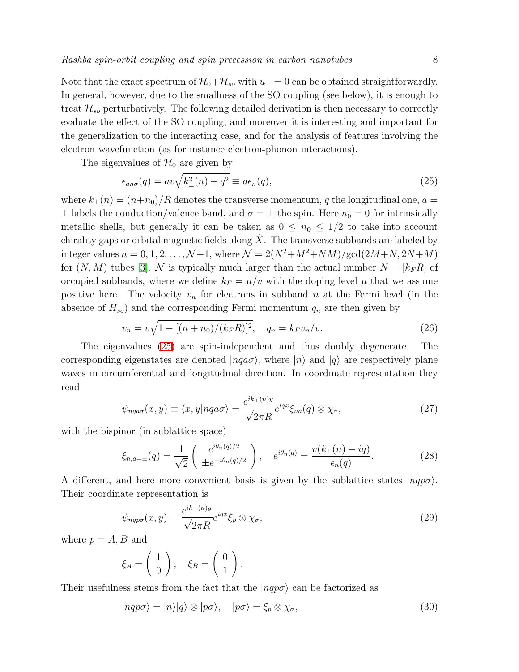Note that the exact spectrum of  $\mathcal{H}_0+\mathcal{H}_{so}$  with  $u_\perp=0$  can be obtained straightforwardly. In general, however, due to the smallness of the SO coupling (see below), it is enough to treat  $\mathcal{H}_{so}$  perturbatively. The following detailed derivation is then necessary to correctly evaluate the effect of the SO coupling, and moreover it is interesting and important for the generalization to the interacting case, and for the analysis of features involving the electron wavefunction (as for instance electron-phonon interactions).

<span id="page-8-0"></span>The eigenvalues of  $\mathcal{H}_0$  are given by

$$
\epsilon_{an\sigma}(q) = av\sqrt{k_{\perp}^2(n) + q^2} \equiv a\epsilon_n(q),\tag{25}
$$

where  $k_{\perp}(n) = (n+n_0)/R$  denotes the transverse momentum, q the longitudinal one,  $a =$  $\pm$  labels the conduction/valence band, and  $\sigma = \pm$  the spin. Here  $n_0 = 0$  for intrinsically metallic shells, but generally it can be taken as  $0 \leq n_0 \leq 1/2$  to take into account chirality gaps or orbital magnetic fields along  $\hat{X}$ . The transverse subbands are labeled by integer values  $n = 0, 1, 2, ..., \mathcal{N}-1$ , where  $\mathcal{N} = 2(N^2 + M^2 + NM)/\text{gcd}(2M+N, 2N+M)$ for  $(N, M)$  tubes [\[3\]](#page-11-2). N is typically much larger than the actual number  $N = [k_F R]$  of occupied subbands, where we define  $k_F = \mu/v$  with the doping level  $\mu$  that we assume positive here. The velocity  $v_n$  for electrons in subband n at the Fermi level (in the absence of  $H_{so}$ ) and the corresponding Fermi momentum  $q_n$  are then given by

$$
v_n = v\sqrt{1 - [(n + n_0)/(k_F R)]^2}, \quad q_n = k_F v_n/v.
$$
\n(26)

<span id="page-8-1"></span>The eigenvalues [\(25\)](#page-8-0) are spin-independent and thus doubly degenerate. The corresponding eigenstates are denoted  $|nqa\sigma\rangle$ , where  $|n\rangle$  and  $|q\rangle$  are respectively plane waves in circumferential and longitudinal direction. In coordinate representation they read

$$
\psi_{nqa\sigma}(x,y) \equiv \langle x,y|nqa\sigma \rangle = \frac{e^{ik_{\perp}(n)y}}{\sqrt{2\pi R}} e^{iqx} \xi_{na}(q) \otimes \chi_{\sigma}, \tag{27}
$$

with the bispinor (in sublattice space)

$$
\xi_{n,a=\pm}(q) = \frac{1}{\sqrt{2}} \begin{pmatrix} e^{i\theta_n(q)/2} \\ \pm e^{-i\theta_n(q)/2} \end{pmatrix}, \quad e^{i\theta_n(q)} = \frac{v(k_{\perp}(n) - iq)}{\epsilon_n(q)}.
$$
 (28)

A different, and here more convenient basis is given by the sublattice states  $|nqp\sigma\rangle$ . Their coordinate representation is

$$
\psi_{nqp\sigma}(x,y) = \frac{e^{ik_{\perp}(n)y}}{\sqrt{2\pi R}} e^{iqx} \xi_p \otimes \chi_{\sigma},\tag{29}
$$

where  $p = A, B$  and

$$
\xi_A = \left(\begin{array}{c} 1 \\ 0 \end{array}\right), \quad \xi_B = \left(\begin{array}{c} 0 \\ 1 \end{array}\right).
$$

Their usefulness stems from the fact that the  $|nqp\sigma\rangle$  can be factorized as

$$
|nqp\sigma\rangle = |n\rangle |q\rangle \otimes |p\sigma\rangle, \quad |p\sigma\rangle = \xi_p \otimes \chi_\sigma,
$$
\n(30)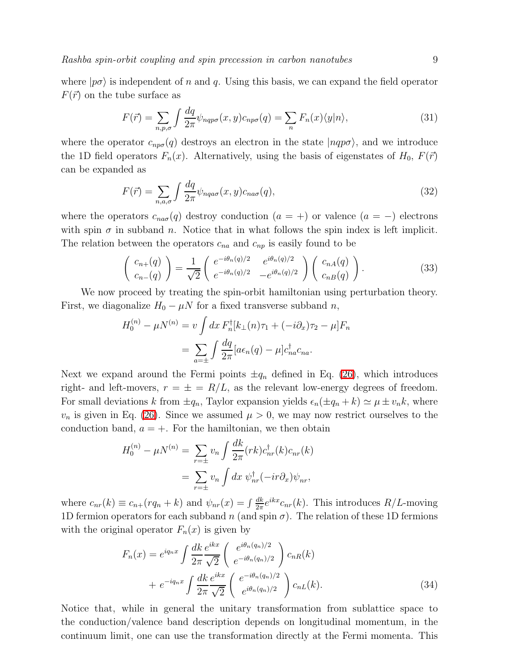Rashba spin-orbit coupling and spin precession in carbon nanotubes 9

where  $|p\sigma\rangle$  is independent of n and q. Using this basis, we can expand the field operator  $F(\vec{r})$  on the tube surface as

$$
F(\vec{r}) = \sum_{n,p,\sigma} \int \frac{dq}{2\pi} \psi_{nqp\sigma}(x,y) c_{np\sigma}(q) = \sum_{n} F_n(x) \langle y|n \rangle, \tag{31}
$$

where the operator  $c_{np\sigma}(q)$  destroys an electron in the state  $|nqp\sigma\rangle$ , and we introduce the 1D field operators  $F_n(x)$ . Alternatively, using the basis of eigenstates of  $H_0$ ,  $F(\vec{r})$ can be expanded as

$$
F(\vec{r}) = \sum_{n,a,\sigma} \int \frac{dq}{2\pi} \psi_{nqa\sigma}(x,y) c_{na\sigma}(q),\tag{32}
$$

where the operators  $c_{na\sigma}(q)$  destroy conduction  $(a = +)$  or valence  $(a = -)$  electrons with spin  $\sigma$  in subband n. Notice that in what follows the spin index is left implicit. The relation between the operators  $c_{na}$  and  $c_{np}$  is easily found to be

$$
\begin{pmatrix} c_{n+}(q) \\ c_{n-}(q) \end{pmatrix} = \frac{1}{\sqrt{2}} \begin{pmatrix} e^{-i\theta_n(q)/2} & e^{i\theta_n(q)/2} \\ e^{-i\theta_n(q)/2} & -e^{i\theta_n(q)/2} \end{pmatrix} \begin{pmatrix} c_{nA}(q) \\ c_{nB}(q) \end{pmatrix}.
$$
 (33)

We now proceed by treating the spin-orbit hamiltonian using perturbation theory. First, we diagonalize  $H_0 - \mu N$  for a fixed transverse subband n,

$$
H_0^{(n)} - \mu N^{(n)} = v \int dx F_n^{\dagger} [k_{\perp}(n)\tau_1 + (-i\partial_x)\tau_2 - \mu] F_n
$$
  
= 
$$
\sum_{a=\pm} \int \frac{dq}{2\pi} [a\epsilon_n(q) - \mu] c_{na}^{\dagger} c_{na}.
$$

Next we expand around the Fermi points  $\pm q_n$  defined in Eq. [\(26\)](#page-8-1), which introduces right- and left-movers,  $r = \pm = R/L$ , as the relevant low-energy degrees of freedom. For small deviations k from  $\pm q_n$ , Taylor expansion yields  $\epsilon_n(\pm q_n + k) \simeq \mu \pm v_n k$ , where  $v_n$  is given in Eq. [\(26\)](#page-8-1). Since we assumed  $\mu > 0$ , we may now restrict ourselves to the conduction band,  $a = +$ . For the hamiltonian, we then obtain

$$
H_0^{(n)} - \mu N^{(n)} = \sum_{r=\pm} v_n \int \frac{dk}{2\pi} (rk) c_{nr}^\dagger(k) c_{nr}(k)
$$

$$
= \sum_{r=\pm} v_n \int dx \ \psi_{nr}^\dagger(-ir\partial_x)\psi_{nr},
$$

<span id="page-9-0"></span>where  $c_{nr}(k) \equiv c_{n+}(rq_n + k)$  and  $\psi_{nr}(x) = \int \frac{dk}{2\pi}$  $\frac{dk}{2\pi}e^{ikx}c_{nr}(k)$ . This introduces  $R/L$ -moving 1D fermion operators for each subband n (and spin  $\sigma$ ). The relation of these 1D fermions with the original operator  $F_n(x)$  is given by

$$
F_n(x) = e^{iq_n x} \int \frac{dk}{2\pi} \frac{e^{ikx}}{\sqrt{2}} \left( \frac{e^{i\theta_n(q_n)/2}}{e^{-i\theta_n(q_n)/2}} \right) c_{nR}(k)
$$
  
+ 
$$
e^{-iq_n x} \int \frac{dk}{2\pi} \frac{e^{ikx}}{\sqrt{2}} \left( \frac{e^{-i\theta_n(q_n)/2}}{e^{i\theta_n(q_n)/2}} \right) c_{nL}(k).
$$
 (34)

Notice that, while in general the unitary transformation from sublattice space to the conduction/valence band description depends on longitudinal momentum, in the continuum limit, one can use the transformation directly at the Fermi momenta. This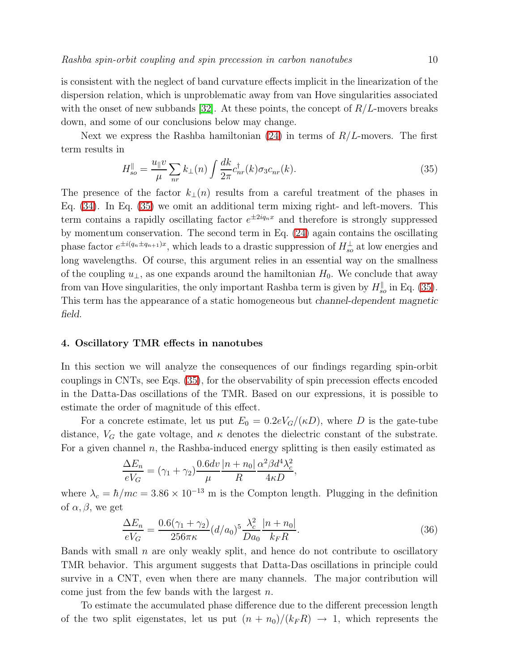is consistent with the neglect of band curvature effects implicit in the linearization of the dispersion relation, which is unproblematic away from van Hove singularities associated with the onset of new subbands [\[32\]](#page-12-24). At these points, the concept of  $R/L$ -movers breaks down, and some of our conclusions below may change.

<span id="page-10-1"></span>Next we express the Rashba hamiltonian  $(24)$  in terms of  $R/L$ -movers. The first term results in

$$
H_{so}^{\parallel} = \frac{u_{\parallel}v}{\mu} \sum_{nr} k_{\perp}(n) \int \frac{dk}{2\pi} c_{nr}^{\dagger}(k) \sigma_3 c_{nr}(k). \tag{35}
$$

The presence of the factor  $k_{\perp}(n)$  results from a careful treatment of the phases in Eq. [\(34\)](#page-9-0). In Eq. [\(35\)](#page-10-1) we omit an additional term mixing right- and left-movers. This term contains a rapidly oscillating factor  $e^{\pm 2iq_nx}$  and therefore is strongly suppressed by momentum conservation. The second term in Eq. [\(24\)](#page-7-1) again contains the oscillating phase factor  $e^{\pm i(q_n \pm q_{n+1})x}$ , which leads to a drastic suppression of  $H^{\perp}_{so}$  at low energies and long wavelengths. Of course, this argument relies in an essential way on the smallness of the coupling  $u_{\perp}$ , as one expands around the hamiltonian  $H_0$ . We conclude that away from van Hove singularities, the only important Rashba term is given by  $H_{so}^{\parallel}$  in Eq. [\(35\)](#page-10-1). This term has the appearance of a static homogeneous but channel-dependent magnetic field.

#### <span id="page-10-0"></span>4. Oscillatory TMR effects in nanotubes

In this section we will analyze the consequences of our findings regarding spin-orbit couplings in CNTs, see Eqs. [\(35\)](#page-10-1), for the observability of spin precession effects encoded in the Datta-Das oscillations of the TMR. Based on our expressions, it is possible to estimate the order of magnitude of this effect.

For a concrete estimate, let us put  $E_0 = 0.2eV_G/(\kappa D)$ , where D is the gate-tube distance,  $V_G$  the gate voltage, and  $\kappa$  denotes the dielectric constant of the substrate. For a given channel  $n$ , the Rashba-induced energy splitting is then easily estimated as

$$
\frac{\Delta E_n}{eV_G} = (\gamma_1 + \gamma_2) \frac{0.6dv}{\mu} \frac{|n+n_0|}{R} \frac{\alpha^2 \beta d^4 \lambda_c^2}{4\kappa D},
$$

<span id="page-10-2"></span>where  $\lambda_c = \hbar/mc = 3.86 \times 10^{-13}$  m is the Compton length. Plugging in the definition of  $\alpha, \beta$ , we get

$$
\frac{\Delta E_n}{eV_G} = \frac{0.6(\gamma_1 + \gamma_2)}{256\pi\kappa} (d/a_0)^5 \frac{\lambda_c^2}{Da_0} \frac{|n + n_0|}{k_F R}.\tag{36}
$$

Bands with small  $n$  are only weakly split, and hence do not contribute to oscillatory TMR behavior. This argument suggests that Datta-Das oscillations in principle could survive in a CNT, even when there are many channels. The major contribution will come just from the few bands with the largest n.

To estimate the accumulated phase difference due to the different precession length of the two split eigenstates, let us put  $(n + n_0)/(k_F R) \rightarrow 1$ , which represents the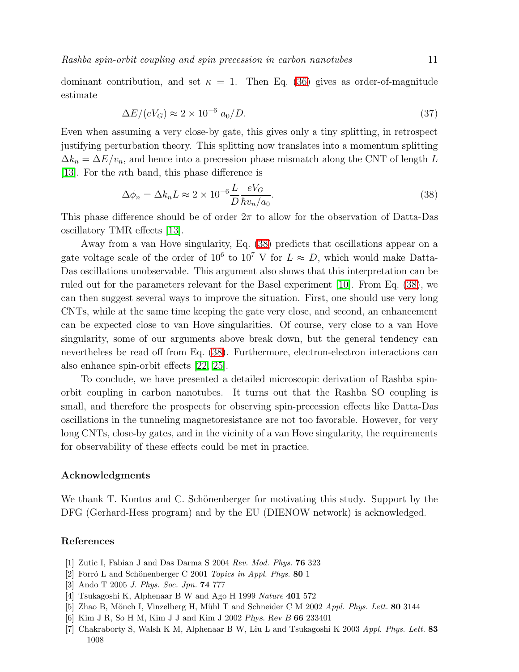dominant contribution, and set  $\kappa = 1$ . Then Eq. [\(36\)](#page-10-2) gives as order-of-magnitude estimate

$$
\Delta E/(eV_G) \approx 2 \times 10^{-6} a_0/D. \tag{37}
$$

Even when assuming a very close-by gate, this gives only a tiny splitting, in retrospect justifying perturbation theory. This splitting now translates into a momentum splitting  $\Delta k_n = \Delta E/v_n$ , and hence into a precession phase mismatch along the CNT of length L [\[13\]](#page-12-5). For the nth band, this phase difference is

$$
\Delta \phi_n = \Delta k_n L \approx 2 \times 10^{-6} \frac{L}{D} \frac{eV_G}{\hbar v_n / a_0}.
$$
\n(38)

<span id="page-11-7"></span>This phase difference should be of order  $2\pi$  to allow for the observation of Datta-Das oscillatory TMR effects [\[13\]](#page-12-5).

Away from a van Hove singularity, Eq. [\(38\)](#page-11-7) predicts that oscillations appear on a gate voltage scale of the order of  $10^6$  to  $10^7$  V for  $L \approx D$ , which would make Datta-Das oscillations unobservable. This argument also shows that this interpretation can be ruled out for the parameters relevant for the Basel experiment [\[10\]](#page-12-2). From Eq. [\(38\)](#page-11-7), we can then suggest several ways to improve the situation. First, one should use very long CNTs, while at the same time keeping the gate very close, and second, an enhancement can be expected close to van Hove singularities. Of course, very close to a van Hove singularity, some of our arguments above break down, but the general tendency can nevertheless be read off from Eq. [\(38\)](#page-11-7). Furthermore, electron-electron interactions can also enhance spin-orbit effects [\[22,](#page-12-14) [25\]](#page-12-17).

To conclude, we have presented a detailed microscopic derivation of Rashba spinorbit coupling in carbon nanotubes. It turns out that the Rashba SO coupling is small, and therefore the prospects for observing spin-precession effects like Datta-Das oscillations in the tunneling magnetoresistance are not too favorable. However, for very long CNTs, close-by gates, and in the vicinity of a van Hove singularity, the requirements for observability of these effects could be met in practice.

#### Acknowledgments

We thank T. Kontos and C. Schönenberger for motivating this study. Support by the DFG (Gerhard-Hess program) and by the EU (DIENOW network) is acknowledged.

#### <span id="page-11-1"></span><span id="page-11-0"></span>References

- [1] Zutic I, Fabian J and Das Darma S 2004 *Rev. Mod. Phys.* 76 323
- <span id="page-11-2"></span>[2] Forró L and Schönenberger C 2001 *Topics in Appl. Phys.* 80 1
- <span id="page-11-3"></span>[3] Ando T 2005 *J. Phys. Soc. Jpn.* 74 777
- <span id="page-11-4"></span>[4] Tsukagoshi K, Alphenaar B W and Ago H 1999 *Nature* 401 572
- <span id="page-11-5"></span>[5] Zhao B, Mönch I, Vinzelberg H, Mühl T and Schneider C M 2002 *Appl. Phys. Lett.* 80 3144
- <span id="page-11-6"></span>[6] Kim J R, So H M, Kim J J and Kim J 2002 Phys. Rev B 66 233401
- [7] Chakraborty S, Walsh K M, Alphenaar B W, Liu L and Tsukagoshi K 2003 *Appl. Phys. Lett.* 83 1008